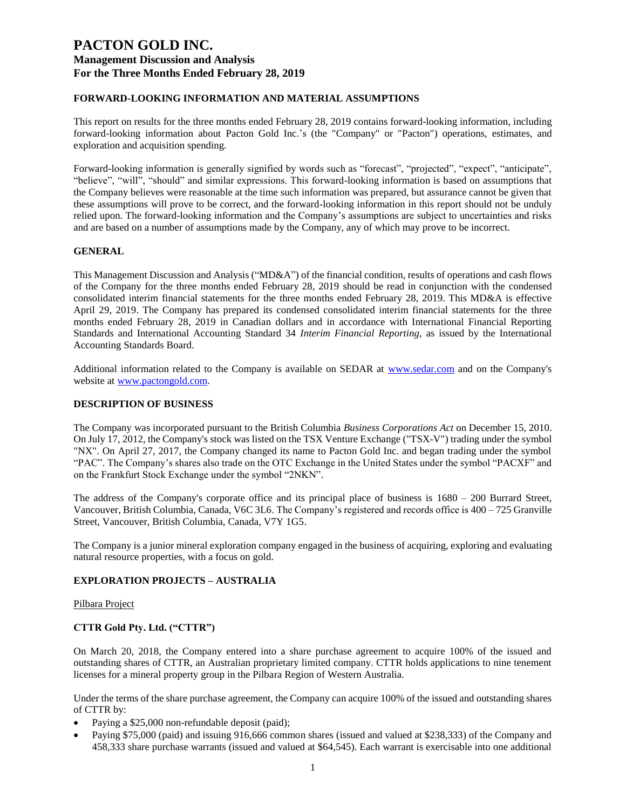## **FORWARD-LOOKING INFORMATION AND MATERIAL ASSUMPTIONS**

This report on results for the three months ended February 28, 2019 contains forward-looking information, including forward-looking information about Pacton Gold Inc.'s (the "Company" or "Pacton") operations, estimates, and exploration and acquisition spending.

Forward-looking information is generally signified by words such as "forecast", "projected", "expect", "anticipate", "believe", "will", "should" and similar expressions. This forward-looking information is based on assumptions that the Company believes were reasonable at the time such information was prepared, but assurance cannot be given that these assumptions will prove to be correct, and the forward-looking information in this report should not be unduly relied upon. The forward-looking information and the Company's assumptions are subject to uncertainties and risks and are based on a number of assumptions made by the Company, any of which may prove to be incorrect.

### **GENERAL**

This Management Discussion and Analysis ("MD&A") of the financial condition, results of operations and cash flows of the Company for the three months ended February 28, 2019 should be read in conjunction with the condensed consolidated interim financial statements for the three months ended February 28, 2019. This MD&A is effective April 29, 2019. The Company has prepared its condensed consolidated interim financial statements for the three months ended February 28, 2019 in Canadian dollars and in accordance with International Financial Reporting Standards and International Accounting Standard 34 *Interim Financial Reporting*, as issued by the International Accounting Standards Board.

Additional information related to the Company is available on SEDAR at [www.sedar.com](http://www.sedar.com/) and on the Company's website at [www.pactongold.com.](http://www.pactongold.com/)

#### **DESCRIPTION OF BUSINESS**

The Company was incorporated pursuant to the British Columbia *Business Corporations Act* on December 15, 2010. On July 17, 2012, the Company's stock was listed on the TSX Venture Exchange ("TSX-V") trading under the symbol "NX". On April 27, 2017, the Company changed its name to Pacton Gold Inc. and began trading under the symbol "PAC". The Company's shares also trade on the OTC Exchange in the United States under the symbol "PACXF" and on the Frankfurt Stock Exchange under the symbol "2NKN".

The address of the Company's corporate office and its principal place of business is 1680 – 200 Burrard Street, Vancouver, British Columbia, Canada, V6C 3L6. The Company's registered and records office is 400 – 725 Granville Street, Vancouver, British Columbia, Canada, V7Y 1G5.

The Company is a junior mineral exploration company engaged in the business of acquiring, exploring and evaluating natural resource properties, with a focus on gold.

#### **EXPLORATION PROJECTS – AUSTRALIA**

#### Pilbara Project

### **CTTR Gold Pty. Ltd. ("CTTR")**

On March 20, 2018, the Company entered into a share purchase agreement to acquire 100% of the issued and outstanding shares of CTTR, an Australian proprietary limited company. CTTR holds applications to nine tenement licenses for a mineral property group in the Pilbara Region of Western Australia.

Under the terms of the share purchase agreement, the Company can acquire 100% of the issued and outstanding shares of CTTR by:

- Paying a \$25,000 non-refundable deposit (paid);
- Paying \$75,000 (paid) and issuing 916,666 common shares (issued and valued at \$238,333) of the Company and 458,333 share purchase warrants (issued and valued at \$64,545). Each warrant is exercisable into one additional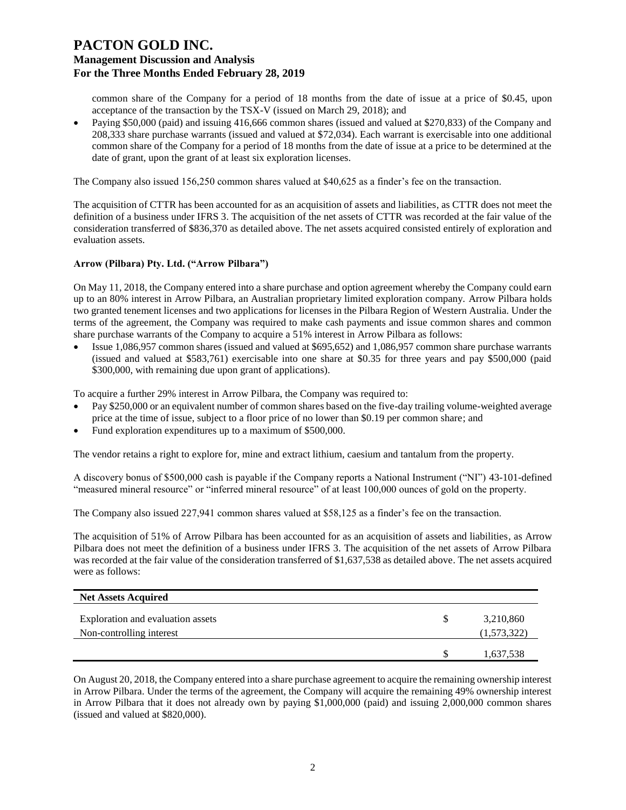common share of the Company for a period of 18 months from the date of issue at a price of \$0.45, upon acceptance of the transaction by the TSX-V (issued on March 29, 2018); and

• Paying \$50,000 (paid) and issuing 416,666 common shares (issued and valued at \$270,833) of the Company and 208,333 share purchase warrants (issued and valued at \$72,034). Each warrant is exercisable into one additional common share of the Company for a period of 18 months from the date of issue at a price to be determined at the date of grant, upon the grant of at least six exploration licenses.

The Company also issued 156,250 common shares valued at \$40,625 as a finder's fee on the transaction.

The acquisition of CTTR has been accounted for as an acquisition of assets and liabilities, as CTTR does not meet the definition of a business under IFRS 3. The acquisition of the net assets of CTTR was recorded at the fair value of the consideration transferred of \$836,370 as detailed above. The net assets acquired consisted entirely of exploration and evaluation assets.

#### **Arrow (Pilbara) Pty. Ltd. ("Arrow Pilbara")**

On May 11, 2018, the Company entered into a share purchase and option agreement whereby the Company could earn up to an 80% interest in Arrow Pilbara, an Australian proprietary limited exploration company. Arrow Pilbara holds two granted tenement licenses and two applications for licenses in the Pilbara Region of Western Australia. Under the terms of the agreement, the Company was required to make cash payments and issue common shares and common share purchase warrants of the Company to acquire a 51% interest in Arrow Pilbara as follows:

• Issue 1,086,957 common shares (issued and valued at \$695,652) and 1,086,957 common share purchase warrants (issued and valued at \$583,761) exercisable into one share at \$0.35 for three years and pay \$500,000 (paid \$300,000, with remaining due upon grant of applications).

To acquire a further 29% interest in Arrow Pilbara, the Company was required to:

- Pay \$250,000 or an equivalent number of common shares based on the five-day trailing volume-weighted average price at the time of issue, subject to a floor price of no lower than \$0.19 per common share; and
- Fund exploration expenditures up to a maximum of \$500,000.

The vendor retains a right to explore for, mine and extract lithium, caesium and tantalum from the property.

A discovery bonus of \$500,000 cash is payable if the Company reports a National Instrument ("NI") 43-101-defined "measured mineral resource" or "inferred mineral resource" of at least 100,000 ounces of gold on the property.

The Company also issued 227,941 common shares valued at \$58,125 as a finder's fee on the transaction.

The acquisition of 51% of Arrow Pilbara has been accounted for as an acquisition of assets and liabilities, as Arrow Pilbara does not meet the definition of a business under IFRS 3. The acquisition of the net assets of Arrow Pilbara was recorded at the fair value of the consideration transferred of \$1,637,538 as detailed above. The net assets acquired were as follows:

| <b>Net Assets Acquired</b>                                    |                          |
|---------------------------------------------------------------|--------------------------|
| Exploration and evaluation assets<br>Non-controlling interest | 3,210,860<br>(1,573,322) |
|                                                               | 1,637,538                |

On August 20, 2018, the Company entered into a share purchase agreement to acquire the remaining ownership interest in Arrow Pilbara. Under the terms of the agreement, the Company will acquire the remaining 49% ownership interest in Arrow Pilbara that it does not already own by paying \$1,000,000 (paid) and issuing 2,000,000 common shares (issued and valued at \$820,000).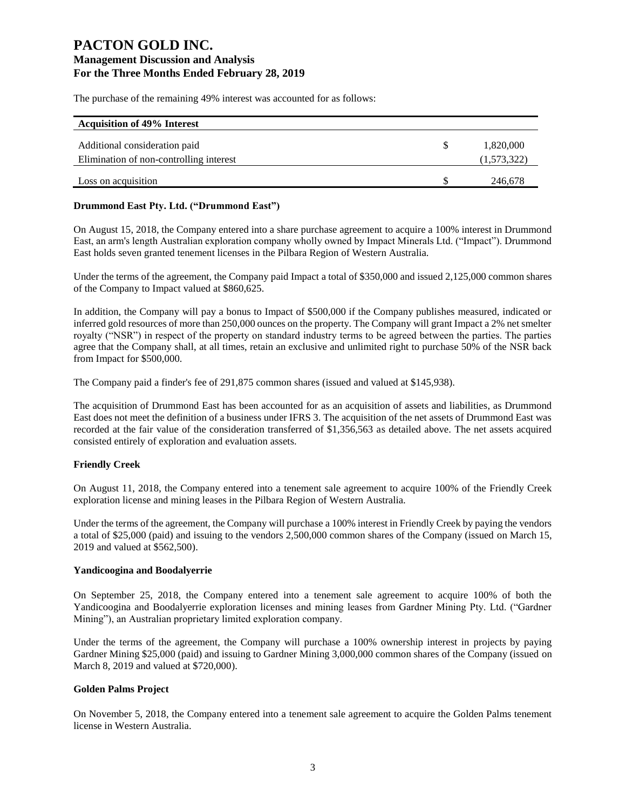The purchase of the remaining 49% interest was accounted for as follows:

| <b>Acquisition of 49% Interest</b>      |             |
|-----------------------------------------|-------------|
| Additional consideration paid           | 1,820,000   |
| Elimination of non-controlling interest | (1,573,322) |
| Loss on acquisition                     | 246,678     |

## **Drummond East Pty. Ltd. ("Drummond East")**

On August 15, 2018, the Company entered into a share purchase agreement to acquire a 100% interest in Drummond East, an arm's length Australian exploration company wholly owned by Impact Minerals Ltd. ("Impact"). Drummond East holds seven granted tenement licenses in the Pilbara Region of Western Australia.

Under the terms of the agreement, the Company paid Impact a total of \$350,000 and issued 2,125,000 common shares of the Company to Impact valued at \$860,625.

In addition, the Company will pay a bonus to Impact of \$500,000 if the Company publishes measured, indicated or inferred gold resources of more than 250,000 ounces on the property. The Company will grant Impact a 2% net smelter royalty ("NSR") in respect of the property on standard industry terms to be agreed between the parties. The parties agree that the Company shall, at all times, retain an exclusive and unlimited right to purchase 50% of the NSR back from Impact for \$500,000.

The Company paid a finder's fee of 291,875 common shares (issued and valued at \$145,938).

The acquisition of Drummond East has been accounted for as an acquisition of assets and liabilities, as Drummond East does not meet the definition of a business under IFRS 3. The acquisition of the net assets of Drummond East was recorded at the fair value of the consideration transferred of \$1,356,563 as detailed above. The net assets acquired consisted entirely of exploration and evaluation assets.

### **Friendly Creek**

On August 11, 2018, the Company entered into a tenement sale agreement to acquire 100% of the Friendly Creek exploration license and mining leases in the Pilbara Region of Western Australia.

Under the terms of the agreement, the Company will purchase a 100% interest in Friendly Creek by paying the vendors a total of \$25,000 (paid) and issuing to the vendors 2,500,000 common shares of the Company (issued on March 15, 2019 and valued at \$562,500).

### **Yandicoogina and Boodalyerrie**

On September 25, 2018, the Company entered into a tenement sale agreement to acquire 100% of both the Yandicoogina and Boodalyerrie exploration licenses and mining leases from Gardner Mining Pty. Ltd. ("Gardner Mining"), an Australian proprietary limited exploration company.

Under the terms of the agreement, the Company will purchase a 100% ownership interest in projects by paying Gardner Mining \$25,000 (paid) and issuing to Gardner Mining 3,000,000 common shares of the Company (issued on March 8, 2019 and valued at \$720,000).

### **Golden Palms Project**

On November 5, 2018, the Company entered into a tenement sale agreement to acquire the Golden Palms tenement license in Western Australia.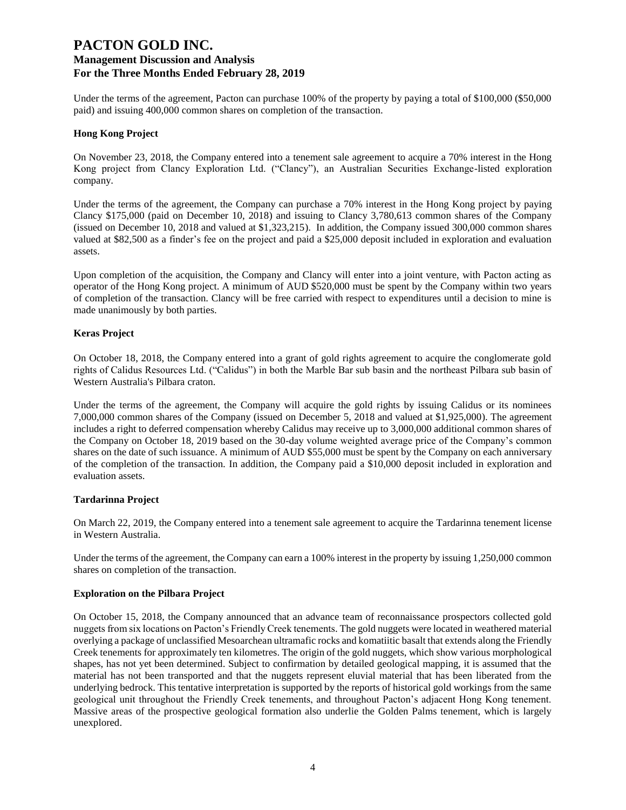Under the terms of the agreement, Pacton can purchase 100% of the property by paying a total of \$100,000 (\$50,000) paid) and issuing 400,000 common shares on completion of the transaction.

#### **Hong Kong Project**

On November 23, 2018, the Company entered into a tenement sale agreement to acquire a 70% interest in the Hong Kong project from Clancy Exploration Ltd. ("Clancy"), an Australian Securities Exchange-listed exploration company.

Under the terms of the agreement, the Company can purchase a 70% interest in the Hong Kong project by paying Clancy \$175,000 (paid on December 10, 2018) and issuing to Clancy 3,780,613 common shares of the Company (issued on December 10, 2018 and valued at \$1,323,215). In addition, the Company issued 300,000 common shares valued at \$82,500 as a finder's fee on the project and paid a \$25,000 deposit included in exploration and evaluation assets.

Upon completion of the acquisition, the Company and Clancy will enter into a joint venture, with Pacton acting as operator of the Hong Kong project. A minimum of AUD \$520,000 must be spent by the Company within two years of completion of the transaction. Clancy will be free carried with respect to expenditures until a decision to mine is made unanimously by both parties.

#### **Keras Project**

On October 18, 2018, the Company entered into a grant of gold rights agreement to acquire the conglomerate gold rights of Calidus Resources Ltd. ("Calidus") in both the Marble Bar sub basin and the northeast Pilbara sub basin of Western Australia's Pilbara craton.

Under the terms of the agreement, the Company will acquire the gold rights by issuing Calidus or its nominees 7,000,000 common shares of the Company (issued on December 5, 2018 and valued at \$1,925,000). The agreement includes a right to deferred compensation whereby Calidus may receive up to 3,000,000 additional common shares of the Company on October 18, 2019 based on the 30-day volume weighted average price of the Company's common shares on the date of such issuance. A minimum of AUD \$55,000 must be spent by the Company on each anniversary of the completion of the transaction. In addition, the Company paid a \$10,000 deposit included in exploration and evaluation assets.

#### **Tardarinna Project**

On March 22, 2019, the Company entered into a tenement sale agreement to acquire the Tardarinna tenement license in Western Australia.

Under the terms of the agreement, the Company can earn a 100% interest in the property by issuing 1,250,000 common shares on completion of the transaction.

### **Exploration on the Pilbara Project**

On October 15, 2018, the Company announced that an advance team of reconnaissance prospectors collected gold nuggets from six locations on Pacton's Friendly Creek tenements. The gold nuggets were located in weathered material overlying a package of unclassified Mesoarchean ultramafic rocks and komatiitic basalt that extends along the Friendly Creek tenements for approximately ten kilometres. The origin of the gold nuggets, which show various morphological shapes, has not yet been determined. Subject to confirmation by detailed geological mapping, it is assumed that the material has not been transported and that the nuggets represent eluvial material that has been liberated from the underlying bedrock. This tentative interpretation is supported by the reports of historical gold workings from the same geological unit throughout the Friendly Creek tenements, and throughout Pacton's adjacent Hong Kong tenement. Massive areas of the prospective geological formation also underlie the Golden Palms tenement, which is largely unexplored.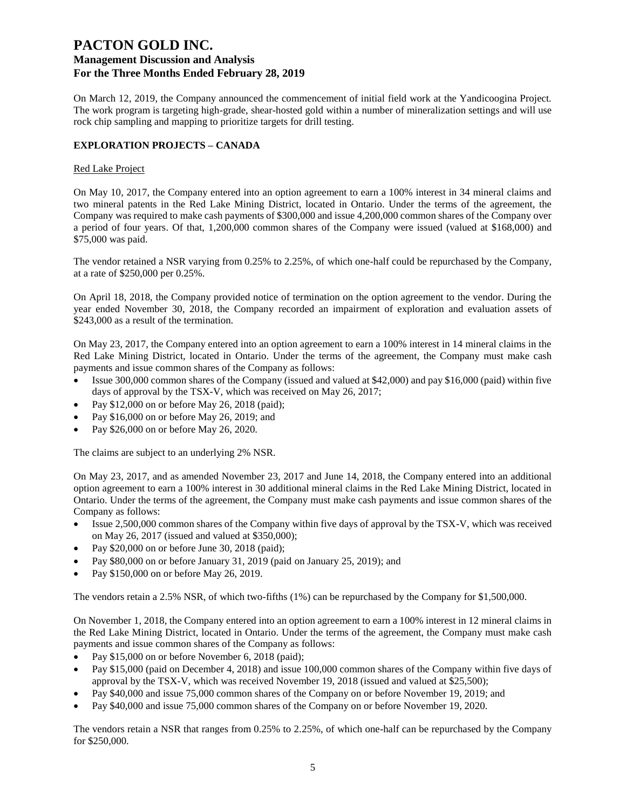On March 12, 2019, the Company announced the commencement of initial field work at the Yandicoogina Project. The work program is targeting high-grade, shear-hosted gold within a number of mineralization settings and will use rock chip sampling and mapping to prioritize targets for drill testing.

## **EXPLORATION PROJECTS – CANADA**

## Red Lake Project

On May 10, 2017, the Company entered into an option agreement to earn a 100% interest in 34 mineral claims and two mineral patents in the Red Lake Mining District, located in Ontario. Under the terms of the agreement, the Company was required to make cash payments of \$300,000 and issue 4,200,000 common shares of the Company over a period of four years. Of that, 1,200,000 common shares of the Company were issued (valued at \$168,000) and \$75,000 was paid.

The vendor retained a NSR varying from 0.25% to 2.25%, of which one-half could be repurchased by the Company, at a rate of \$250,000 per 0.25%.

On April 18, 2018, the Company provided notice of termination on the option agreement to the vendor. During the year ended November 30, 2018, the Company recorded an impairment of exploration and evaluation assets of \$243,000 as a result of the termination.

On May 23, 2017, the Company entered into an option agreement to earn a 100% interest in 14 mineral claims in the Red Lake Mining District, located in Ontario. Under the terms of the agreement, the Company must make cash payments and issue common shares of the Company as follows:

- Issue 300,000 common shares of the Company (issued and valued at \$42,000) and pay \$16,000 (paid) within five days of approval by the TSX-V, which was received on May 26, 2017;
- Pay \$12,000 on or before May 26, 2018 (paid);
- Pay \$16,000 on or before May 26, 2019; and
- Pay \$26,000 on or before May 26, 2020.

The claims are subject to an underlying 2% NSR.

On May 23, 2017, and as amended November 23, 2017 and June 14, 2018, the Company entered into an additional option agreement to earn a 100% interest in 30 additional mineral claims in the Red Lake Mining District, located in Ontario. Under the terms of the agreement, the Company must make cash payments and issue common shares of the Company as follows:

- Issue 2,500,000 common shares of the Company within five days of approval by the TSX-V, which was received on May 26, 2017 (issued and valued at \$350,000);
- Pay \$20,000 on or before June 30, 2018 (paid);
- Pay \$80,000 on or before January 31, 2019 (paid on January 25, 2019); and
- Pay \$150,000 on or before May 26, 2019.

The vendors retain a 2.5% NSR, of which two-fifths (1%) can be repurchased by the Company for \$1,500,000.

On November 1, 2018, the Company entered into an option agreement to earn a 100% interest in 12 mineral claims in the Red Lake Mining District, located in Ontario. Under the terms of the agreement, the Company must make cash payments and issue common shares of the Company as follows:

- Pay \$15,000 on or before November 6, 2018 (paid);
- Pay \$15,000 (paid on December 4, 2018) and issue 100,000 common shares of the Company within five days of approval by the TSX-V, which was received November 19, 2018 (issued and valued at \$25,500);
- Pay \$40,000 and issue 75,000 common shares of the Company on or before November 19, 2019; and
- Pay \$40,000 and issue 75,000 common shares of the Company on or before November 19, 2020.

The vendors retain a NSR that ranges from 0.25% to 2.25%, of which one-half can be repurchased by the Company for \$250,000.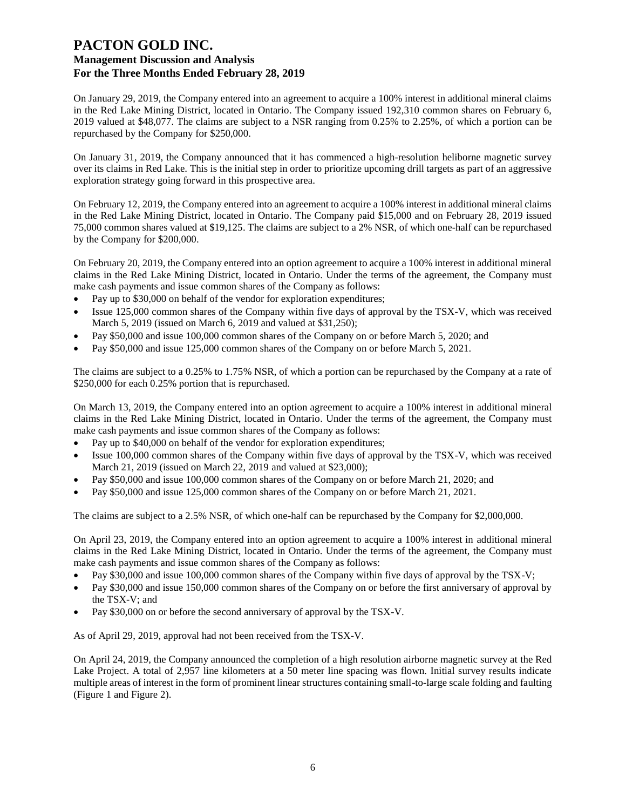On January 29, 2019, the Company entered into an agreement to acquire a 100% interest in additional mineral claims in the Red Lake Mining District, located in Ontario. The Company issued 192,310 common shares on February 6, 2019 valued at \$48,077. The claims are subject to a NSR ranging from 0.25% to 2.25%, of which a portion can be repurchased by the Company for \$250,000.

On January 31, 2019, the Company announced that it has commenced a high-resolution heliborne magnetic survey over its claims in Red Lake. This is the initial step in order to prioritize upcoming drill targets as part of an aggressive exploration strategy going forward in this prospective area.

On February 12, 2019, the Company entered into an agreement to acquire a 100% interest in additional mineral claims in the Red Lake Mining District, located in Ontario. The Company paid \$15,000 and on February 28, 2019 issued 75,000 common shares valued at \$19,125. The claims are subject to a 2% NSR, of which one-half can be repurchased by the Company for \$200,000.

On February 20, 2019, the Company entered into an option agreement to acquire a 100% interest in additional mineral claims in the Red Lake Mining District, located in Ontario. Under the terms of the agreement, the Company must make cash payments and issue common shares of the Company as follows:

- Pay up to \$30,000 on behalf of the vendor for exploration expenditures;
- Issue 125,000 common shares of the Company within five days of approval by the TSX-V, which was received March 5, 2019 (issued on March 6, 2019 and valued at \$31,250);
- Pay \$50,000 and issue 100,000 common shares of the Company on or before March 5, 2020; and
- Pay \$50,000 and issue 125,000 common shares of the Company on or before March 5, 2021.

The claims are subject to a 0.25% to 1.75% NSR, of which a portion can be repurchased by the Company at a rate of \$250,000 for each 0.25% portion that is repurchased.

On March 13, 2019, the Company entered into an option agreement to acquire a 100% interest in additional mineral claims in the Red Lake Mining District, located in Ontario. Under the terms of the agreement, the Company must make cash payments and issue common shares of the Company as follows:

- Pay up to \$40,000 on behalf of the vendor for exploration expenditures;
- Issue 100,000 common shares of the Company within five days of approval by the TSX-V, which was received March 21, 2019 (issued on March 22, 2019 and valued at \$23,000);
- Pay \$50,000 and issue 100,000 common shares of the Company on or before March 21, 2020; and
- Pay \$50,000 and issue 125,000 common shares of the Company on or before March 21, 2021.

The claims are subject to a 2.5% NSR, of which one-half can be repurchased by the Company for \$2,000,000.

On April 23, 2019, the Company entered into an option agreement to acquire a 100% interest in additional mineral claims in the Red Lake Mining District, located in Ontario. Under the terms of the agreement, the Company must make cash payments and issue common shares of the Company as follows:

- Pay \$30,000 and issue 100,000 common shares of the Company within five days of approval by the TSX-V;
- Pay \$30,000 and issue 150,000 common shares of the Company on or before the first anniversary of approval by the TSX-V; and
- Pay \$30,000 on or before the second anniversary of approval by the TSX-V.

As of April 29, 2019, approval had not been received from the TSX-V.

On April 24, 2019, the Company announced the completion of a high resolution airborne magnetic survey at the Red Lake Project. A total of 2,957 line kilometers at a 50 meter line spacing was flown. Initial survey results indicate multiple areas of interest in the form of prominent linear structures containing small-to-large scale folding and faulting (Figure 1 and Figure 2).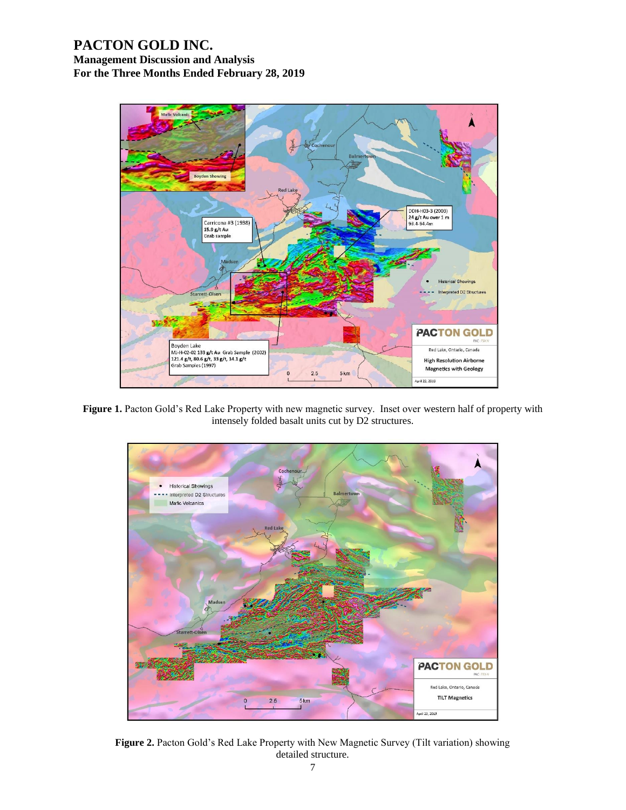# **PACTON GOLD INC.**

**Management Discussion and Analysis For the Three Months Ended February 28, 2019**



Figure 1. Pacton Gold's Red Lake Property with new magnetic survey. Inset over western half of property with intensely folded basalt units cut by D2 structures.



**Figure 2.** Pacton Gold's Red Lake Property with New Magnetic Survey (Tilt variation) showing detailed structure.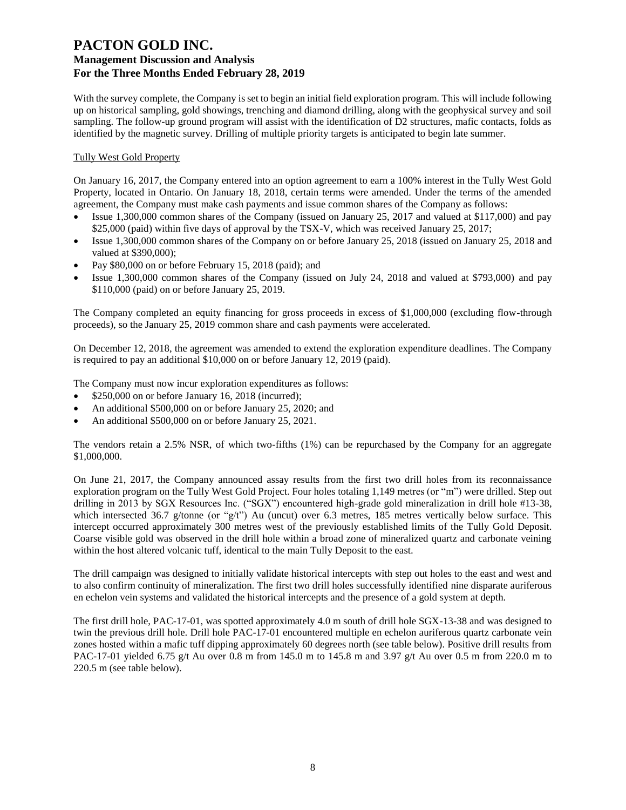With the survey complete, the Company is set to begin an initial field exploration program. This will include following up on historical sampling, gold showings, trenching and diamond drilling, along with the geophysical survey and soil sampling. The follow-up ground program will assist with the identification of D2 structures, mafic contacts, folds as identified by the magnetic survey. Drilling of multiple priority targets is anticipated to begin late summer.

## Tully West Gold Property

On January 16, 2017, the Company entered into an option agreement to earn a 100% interest in the Tully West Gold Property, located in Ontario. On January 18, 2018, certain terms were amended. Under the terms of the amended agreement, the Company must make cash payments and issue common shares of the Company as follows:

- Issue 1,300,000 common shares of the Company (issued on January 25, 2017 and valued at \$117,000) and pay \$25,000 (paid) within five days of approval by the TSX-V, which was received January 25, 2017;
- Issue 1,300,000 common shares of the Company on or before January 25, 2018 (issued on January 25, 2018 and valued at \$390,000);
- Pay \$80,000 on or before February 15, 2018 (paid); and
- Issue 1,300,000 common shares of the Company (issued on July 24, 2018 and valued at \$793,000) and pay \$110,000 (paid) on or before January 25, 2019.

The Company completed an equity financing for gross proceeds in excess of \$1,000,000 (excluding flow-through proceeds), so the January 25, 2019 common share and cash payments were accelerated.

On December 12, 2018, the agreement was amended to extend the exploration expenditure deadlines. The Company is required to pay an additional \$10,000 on or before January 12, 2019 (paid).

The Company must now incur exploration expenditures as follows:

- \$250,000 on or before January 16, 2018 (incurred);
- An additional \$500,000 on or before January 25, 2020; and
- An additional \$500,000 on or before January 25, 2021.

The vendors retain a 2.5% NSR, of which two-fifths (1%) can be repurchased by the Company for an aggregate \$1,000,000.

On June 21, 2017, the Company announced assay results from the first two drill holes from its reconnaissance exploration program on the Tully West Gold Project. Four holes totaling 1,149 metres (or "m") were drilled. Step out drilling in 2013 by SGX Resources Inc. ("SGX") encountered high-grade gold mineralization in drill hole #13-38, which intersected 36.7 g/tonne (or "g/t") Au (uncut) over 6.3 metres, 185 metres vertically below surface. This intercept occurred approximately 300 metres west of the previously established limits of the Tully Gold Deposit. Coarse visible gold was observed in the drill hole within a broad zone of mineralized quartz and carbonate veining within the host altered volcanic tuff, identical to the main Tully Deposit to the east.

The drill campaign was designed to initially validate historical intercepts with step out holes to the east and west and to also confirm continuity of mineralization. The first two drill holes successfully identified nine disparate auriferous en echelon vein systems and validated the historical intercepts and the presence of a gold system at depth.

The first drill hole, PAC-17-01, was spotted approximately 4.0 m south of drill hole SGX-13-38 and was designed to twin the previous drill hole. Drill hole PAC-17-01 encountered multiple en echelon auriferous quartz carbonate vein zones hosted within a mafic tuff dipping approximately 60 degrees north (see table below). Positive drill results from PAC-17-01 yielded 6.75 g/t Au over 0.8 m from 145.0 m to 145.8 m and 3.97 g/t Au over 0.5 m from 220.0 m to 220.5 m (see table below).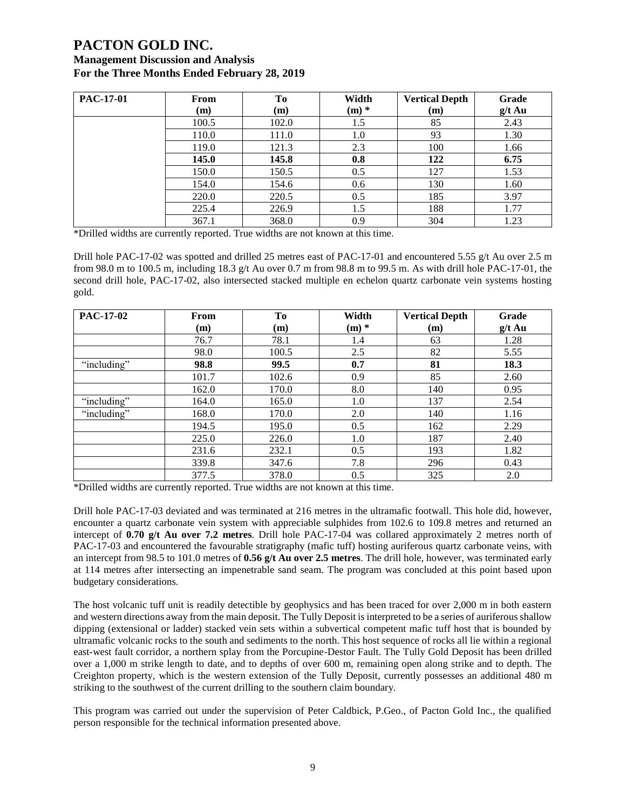# **PACTON GOLD INC.**

## **Management Discussion and Analysis For the Three Months Ended February 28, 2019**

| <b>PAC-17-01</b> | From  | <b>To</b> | Width   | <b>Vertical Depth</b> | Grade    |
|------------------|-------|-----------|---------|-----------------------|----------|
|                  | (m)   | (m)       | $(m)$ * | (m)                   | $g/t$ Au |
|                  | 100.5 | 102.0     | 1.5     | 85                    | 2.43     |
|                  | 110.0 | 111.0     | 1.0     | 93                    | 1.30     |
|                  | 119.0 | 121.3     | 2.3     | 100                   | 1.66     |
|                  | 145.0 | 145.8     | 0.8     | 122                   | 6.75     |
|                  | 150.0 | 150.5     | 0.5     | 127                   | 1.53     |
|                  | 154.0 | 154.6     | 0.6     | 130                   | 1.60     |
|                  | 220.0 | 220.5     | 0.5     | 185                   | 3.97     |
|                  | 225.4 | 226.9     | 1.5     | 188                   | 1.77     |
|                  | 367.1 | 368.0     | 0.9     | 304                   | 1.23     |

\*Drilled widths are currently reported. True widths are not known at this time.

Drill hole PAC-17-02 was spotted and drilled 25 metres east of PAC-17-01 and encountered 5.55 g/t Au over 2.5 m from 98.0 m to 100.5 m, including 18.3 g/t Au over 0.7 m from 98.8 m to 99.5 m. As with drill hole PAC-17-01, the second drill hole, PAC-17-02, also intersected stacked multiple en echelon quartz carbonate vein systems hosting gold.

| <b>PAC-17-02</b> | From  | To    | Width   | <b>Vertical Depth</b> | Grade    |
|------------------|-------|-------|---------|-----------------------|----------|
|                  | (m)   | (m)   | $(m)$ * | (m)                   | $g/t$ Au |
|                  | 76.7  | 78.1  | 1.4     | 63                    | 1.28     |
|                  | 98.0  | 100.5 | 2.5     | 82                    | 5.55     |
| "including"      | 98.8  | 99.5  | 0.7     | 81                    | 18.3     |
|                  | 101.7 | 102.6 | 0.9     | 85                    | 2.60     |
|                  | 162.0 | 170.0 | 8.0     | 140                   | 0.95     |
| "including"      | 164.0 | 165.0 | 1.0     | 137                   | 2.54     |
| "including"      | 168.0 | 170.0 | 2.0     | 140                   | 1.16     |
|                  | 194.5 | 195.0 | 0.5     | 162                   | 2.29     |
|                  | 225.0 | 226.0 | 1.0     | 187                   | 2.40     |
|                  | 231.6 | 232.1 | 0.5     | 193                   | 1.82     |
|                  | 339.8 | 347.6 | 7.8     | 296                   | 0.43     |
|                  | 377.5 | 378.0 | 0.5     | 325                   | 2.0      |

\*Drilled widths are currently reported. True widths are not known at this time.

Drill hole PAC-17-03 deviated and was terminated at 216 metres in the ultramafic footwall. This hole did, however, encounter a quartz carbonate vein system with appreciable sulphides from 102.6 to 109.8 metres and returned an intercept of **0.70 g/t Au over 7.2 metres**. Drill hole PAC-17-04 was collared approximately 2 metres north of PAC-17-03 and encountered the favourable stratigraphy (mafic tuff) hosting auriferous quartz carbonate veins, with an intercept from 98.5 to 101.0 metres of **0.56 g/t Au over 2.5 metres**. The drill hole, however, was terminated early at 114 metres after intersecting an impenetrable sand seam. The program was concluded at this point based upon budgetary considerations.

The host volcanic tuff unit is readily detectible by geophysics and has been traced for over 2,000 m in both eastern and western directions away from the main deposit. The Tully Deposit is interpreted to be a series of auriferous shallow dipping (extensional or ladder) stacked vein sets within a subvertical competent mafic tuff host that is bounded by ultramafic volcanic rocks to the south and sediments to the north. This host sequence of rocks all lie within a regional east-west fault corridor, a northern splay from the Porcupine-Destor Fault. The Tully Gold Deposit has been drilled over a 1,000 m strike length to date, and to depths of over 600 m, remaining open along strike and to depth. The Creighton property, which is the western extension of the Tully Deposit, currently possesses an additional 480 m striking to the southwest of the current drilling to the southern claim boundary.

This program was carried out under the supervision of Peter Caldbick, P.Geo., of Pacton Gold Inc., the qualified person responsible for the technical information presented above.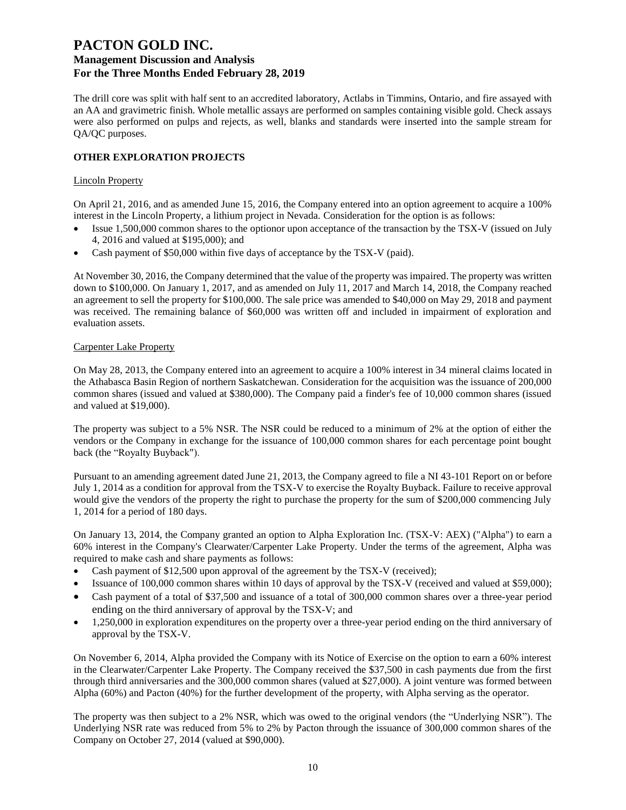The drill core was split with half sent to an accredited laboratory, Actlabs in Timmins, Ontario, and fire assayed with an AA and gravimetric finish. Whole metallic assays are performed on samples containing visible gold. Check assays were also performed on pulps and rejects, as well, blanks and standards were inserted into the sample stream for QA/QC purposes.

## **OTHER EXPLORATION PROJECTS**

#### Lincoln Property

On April 21, 2016, and as amended June 15, 2016, the Company entered into an option agreement to acquire a 100% interest in the Lincoln Property, a lithium project in Nevada. Consideration for the option is as follows:

- Issue 1,500,000 common shares to the optionor upon acceptance of the transaction by the TSX-V (issued on July 4, 2016 and valued at \$195,000); and
- Cash payment of \$50,000 within five days of acceptance by the TSX-V (paid).

At November 30, 2016, the Company determined that the value of the property was impaired. The property was written down to \$100,000. On January 1, 2017, and as amended on July 11, 2017 and March 14, 2018, the Company reached an agreement to sell the property for \$100,000. The sale price was amended to \$40,000 on May 29, 2018 and payment was received. The remaining balance of \$60,000 was written off and included in impairment of exploration and evaluation assets.

#### Carpenter Lake Property

On May 28, 2013, the Company entered into an agreement to acquire a 100% interest in 34 mineral claims located in the Athabasca Basin Region of northern Saskatchewan. Consideration for the acquisition was the issuance of 200,000 common shares (issued and valued at \$380,000). The Company paid a finder's fee of 10,000 common shares (issued and valued at \$19,000).

The property was subject to a 5% NSR. The NSR could be reduced to a minimum of 2% at the option of either the vendors or the Company in exchange for the issuance of 100,000 common shares for each percentage point bought back (the "Royalty Buyback").

Pursuant to an amending agreement dated June 21, 2013, the Company agreed to file a NI 43-101 Report on or before July 1, 2014 as a condition for approval from the TSX-V to exercise the Royalty Buyback. Failure to receive approval would give the vendors of the property the right to purchase the property for the sum of \$200,000 commencing July 1, 2014 for a period of 180 days.

On January 13, 2014, the Company granted an option to Alpha Exploration Inc. (TSX-V: AEX) ("Alpha") to earn a 60% interest in the Company's Clearwater/Carpenter Lake Property. Under the terms of the agreement, Alpha was required to make cash and share payments as follows:

- Cash payment of \$12,500 upon approval of the agreement by the TSX-V (received);
- Issuance of 100,000 common shares within 10 days of approval by the TSX-V (received and valued at \$59,000);
- Cash payment of a total of \$37,500 and issuance of a total of 300,000 common shares over a three-year period ending on the third anniversary of approval by the TSX-V; and
- 1,250,000 in exploration expenditures on the property over a three-year period ending on the third anniversary of approval by the TSX-V.

On November 6, 2014, Alpha provided the Company with its Notice of Exercise on the option to earn a 60% interest in the Clearwater/Carpenter Lake Property. The Company received the \$37,500 in cash payments due from the first through third anniversaries and the 300,000 common shares (valued at \$27,000). A joint venture was formed between Alpha (60%) and Pacton (40%) for the further development of the property, with Alpha serving as the operator.

The property was then subject to a 2% NSR, which was owed to the original vendors (the "Underlying NSR"). The Underlying NSR rate was reduced from 5% to 2% by Pacton through the issuance of 300,000 common shares of the Company on October 27, 2014 (valued at \$90,000).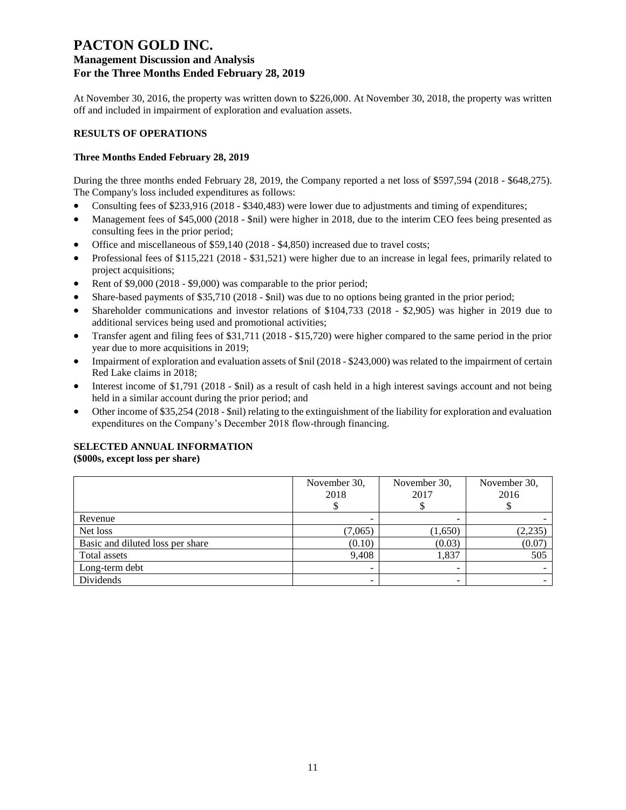# **PACTON GOLD INC.**

## **Management Discussion and Analysis For the Three Months Ended February 28, 2019**

At November 30, 2016, the property was written down to \$226,000. At November 30, 2018, the property was written off and included in impairment of exploration and evaluation assets.

## **RESULTS OF OPERATIONS**

## **Three Months Ended February 28, 2019**

During the three months ended February 28, 2019, the Company reported a net loss of \$597,594 (2018 - \$648,275). The Company's loss included expenditures as follows:

- Consulting fees of \$233,916 (2018 \$340,483) were lower due to adjustments and timing of expenditures;
- Management fees of \$45,000 (2018 \$nil) were higher in 2018, due to the interim CEO fees being presented as consulting fees in the prior period;
- Office and miscellaneous of \$59,140 (2018 \$4,850) increased due to travel costs;
- Professional fees of \$115,221 (2018 \$31,521) were higher due to an increase in legal fees, primarily related to project acquisitions;
- Rent of \$9,000 (2018 \$9,000) was comparable to the prior period;
- Share-based payments of \$35,710 (2018 \$nil) was due to no options being granted in the prior period;
- Shareholder communications and investor relations of \$104,733 (2018 \$2,905) was higher in 2019 due to additional services being used and promotional activities;
- Transfer agent and filing fees of \$31,711 (2018 \$15,720) were higher compared to the same period in the prior year due to more acquisitions in 2019;
- Impairment of exploration and evaluation assets of \$nil (2018 \$243,000) was related to the impairment of certain Red Lake claims in 2018;
- Interest income of \$1,791 (2018 \$nil) as a result of cash held in a high interest savings account and not being held in a similar account during the prior period; and
- Other income of \$35,254 (2018 \$nil) relating to the extinguishment of the liability for exploration and evaluation expenditures on the Company's December 2018 flow-through financing.

## **SELECTED ANNUAL INFORMATION**

**(\$000s, except loss per share)**

|                                  | November 30,<br>2018 | November 30,<br>2017 | November 30,<br>2016 |
|----------------------------------|----------------------|----------------------|----------------------|
| Revenue                          |                      |                      |                      |
| Net loss                         | (7,065)              | (1,650)              | (2, 235)             |
| Basic and diluted loss per share | (0.10)               | (0.03)               | (0.07)               |
| Total assets                     | 9,408                | 1,837                | 505                  |
| Long-term debt                   |                      |                      |                      |
| Dividends                        | -                    | -                    |                      |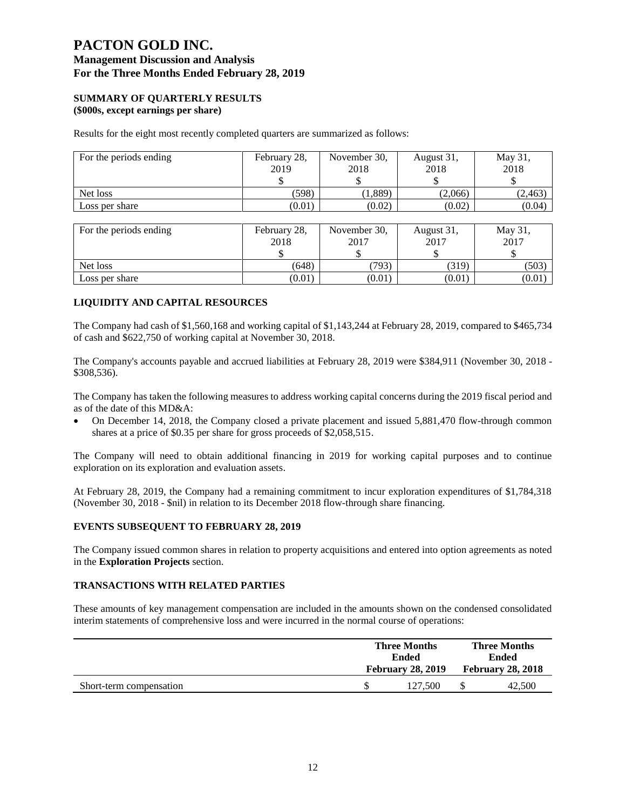#### **SUMMARY OF QUARTERLY RESULTS (\$000s, except earnings per share)**

Results for the eight most recently completed quarters are summarized as follows:

| For the periods ending | February 28,<br>2019 | November 30,<br>2018 | August 31,<br>2018 | May 31,<br>2018 |
|------------------------|----------------------|----------------------|--------------------|-----------------|
| Net loss               | (598)                | (1,889)              | (2,066)            | (2, 463)        |
| Loss per share         | (0.01)               | (0.02)               | (0.02)             | (0.04)          |

| For the periods ending | February 28, | November 30, | August 31, | May 31, |
|------------------------|--------------|--------------|------------|---------|
|                        | 2018         | 2017         | 2017       | 2017    |
|                        |              |              |            |         |
| Net loss               | (648)        | (793)        | (319)      | (503)   |
| Loss per share         | (0.01)       | (0.01)       | (0.01)     | (0.01)  |

### **LIQUIDITY AND CAPITAL RESOURCES**

The Company had cash of \$1,560,168 and working capital of \$1,143,244 at February 28, 2019, compared to \$465,734 of cash and \$622,750 of working capital at November 30, 2018.

The Company's accounts payable and accrued liabilities at February 28, 2019 were \$384,911 (November 30, 2018 - \$308,536).

The Company has taken the following measures to address working capital concerns during the 2019 fiscal period and as of the date of this MD&A:

• On December 14, 2018, the Company closed a private placement and issued 5,881,470 flow-through common shares at a price of \$0.35 per share for gross proceeds of \$2,058,515.

The Company will need to obtain additional financing in 2019 for working capital purposes and to continue exploration on its exploration and evaluation assets.

At February 28, 2019, the Company had a remaining commitment to incur exploration expenditures of \$1,784,318 (November 30, 2018 - \$nil) in relation to its December 2018 flow-through share financing.

#### **EVENTS SUBSEQUENT TO FEBRUARY 28, 2019**

The Company issued common shares in relation to property acquisitions and entered into option agreements as noted in the **Exploration Projects** section.

## **TRANSACTIONS WITH RELATED PARTIES**

These amounts of key management compensation are included in the amounts shown on the condensed consolidated interim statements of comprehensive loss and were incurred in the normal course of operations:

|                         | <b>Three Months</b><br>Ended<br><b>February 28, 2019</b> |         | <b>Three Months</b><br><b>Ended</b> |                          |
|-------------------------|----------------------------------------------------------|---------|-------------------------------------|--------------------------|
|                         |                                                          |         |                                     | <b>February 28, 2018</b> |
| Short-term compensation |                                                          | 127.500 |                                     | 42,500                   |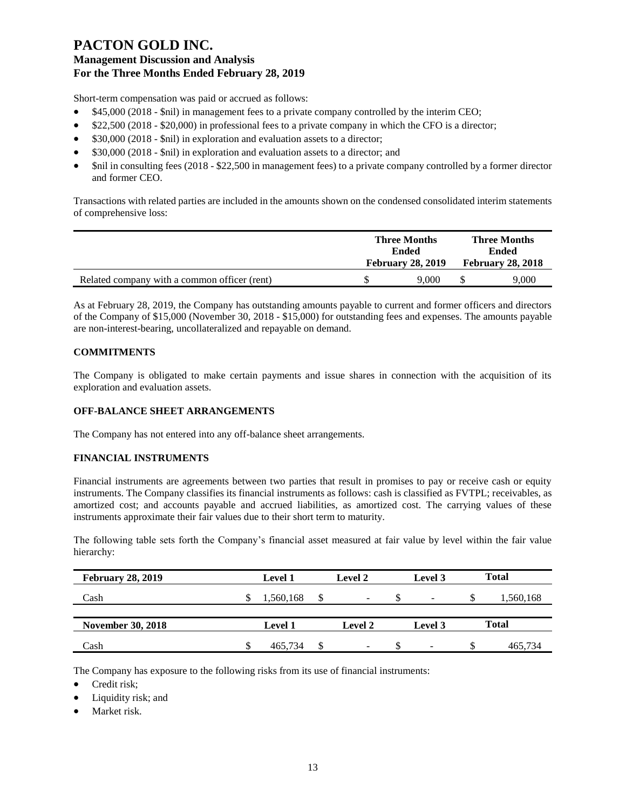Short-term compensation was paid or accrued as follows:

- \$45,000 (2018 \$nil) in management fees to a private company controlled by the interim CEO;
- \$22,500 (2018 \$20,000) in professional fees to a private company in which the CFO is a director;
- \$30,000 (2018 \$nil) in exploration and evaluation assets to a director;
- \$30,000 (2018 \$nil) in exploration and evaluation assets to a director; and
- \$nil in consulting fees (2018 \$22,500 in management fees) to a private company controlled by a former director and former CEO.

Transactions with related parties are included in the amounts shown on the condensed consolidated interim statements of comprehensive loss:

|                                              | <b>Three Months</b><br>Ended |                          |  | <b>Three Months</b><br><b>Ended</b><br><b>February 28, 2018</b> |  |
|----------------------------------------------|------------------------------|--------------------------|--|-----------------------------------------------------------------|--|
|                                              |                              | <b>February 28, 2019</b> |  |                                                                 |  |
| Related company with a common officer (rent) |                              | 9.000                    |  | 9.000                                                           |  |

As at February 28, 2019, the Company has outstanding amounts payable to current and former officers and directors of the Company of \$15,000 (November 30, 2018 - \$15,000) for outstanding fees and expenses. The amounts payable are non-interest-bearing, uncollateralized and repayable on demand.

## **COMMITMENTS**

The Company is obligated to make certain payments and issue shares in connection with the acquisition of its exploration and evaluation assets.

## **OFF-BALANCE SHEET ARRANGEMENTS**

The Company has not entered into any off-balance sheet arrangements.

### **FINANCIAL INSTRUMENTS**

Financial instruments are agreements between two parties that result in promises to pay or receive cash or equity instruments. The Company classifies its financial instruments as follows: cash is classified as FVTPL; receivables, as amortized cost; and accounts payable and accrued liabilities, as amortized cost. The carrying values of these instruments approximate their fair values due to their short term to maturity.

The following table sets forth the Company's financial asset measured at fair value by level within the fair value hierarchy:

| <b>February 28, 2019</b> |   | <b>Level 1</b> |     | <b>Level 2</b> | Level 3                  |    | <b>Total</b> |
|--------------------------|---|----------------|-----|----------------|--------------------------|----|--------------|
| Cash                     | Ж | 1,560,168      | -\$ | -              | -                        | ъ  | 1,560,168    |
| <b>November 30, 2018</b> |   | <b>Level 1</b> |     | <b>Level 2</b> | Level 3                  |    | <b>Total</b> |
| Cash                     |   | 465.734        | \$  | -              | $\overline{\phantom{a}}$ | \$ | 465.734      |

The Company has exposure to the following risks from its use of financial instruments:

• Credit risk;

- Liquidity risk; and
- Market risk.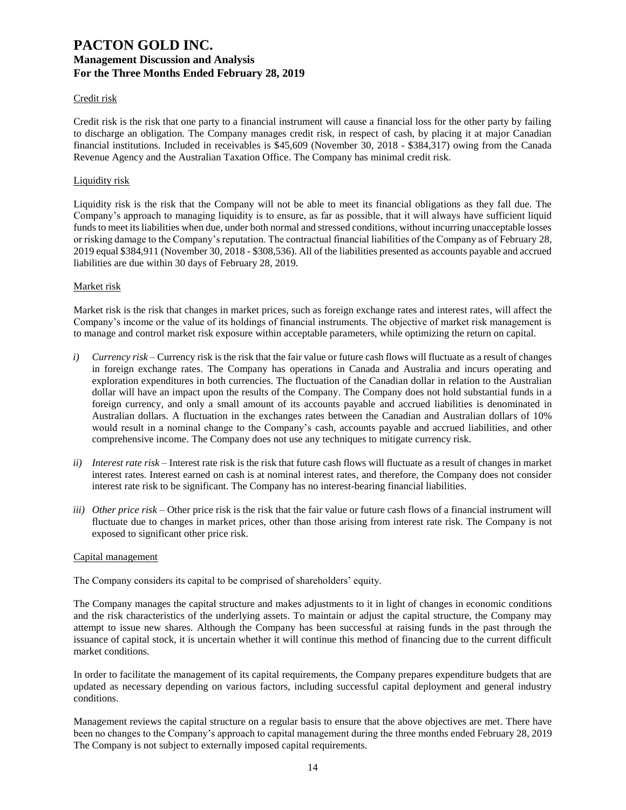#### Credit risk

Credit risk is the risk that one party to a financial instrument will cause a financial loss for the other party by failing to discharge an obligation. The Company manages credit risk, in respect of cash, by placing it at major Canadian financial institutions. Included in receivables is \$45,609 (November 30, 2018 - \$384,317) owing from the Canada Revenue Agency and the Australian Taxation Office. The Company has minimal credit risk.

#### Liquidity risk

Liquidity risk is the risk that the Company will not be able to meet its financial obligations as they fall due. The Company's approach to managing liquidity is to ensure, as far as possible, that it will always have sufficient liquid funds to meet its liabilities when due, under both normal and stressed conditions, without incurring unacceptable losses or risking damage to the Company's reputation. The contractual financial liabilities of the Company as of February 28, 2019 equal \$384,911 (November 30, 2018 - \$308,536). All of the liabilities presented as accounts payable and accrued liabilities are due within 30 days of February 28, 2019.

#### Market risk

Market risk is the risk that changes in market prices, such as foreign exchange rates and interest rates, will affect the Company's income or the value of its holdings of financial instruments. The objective of market risk management is to manage and control market risk exposure within acceptable parameters, while optimizing the return on capital.

- *i) Currency risk* Currency risk is the risk that the fair value or future cash flows will fluctuate as a result of changes in foreign exchange rates. The Company has operations in Canada and Australia and incurs operating and exploration expenditures in both currencies. The fluctuation of the Canadian dollar in relation to the Australian dollar will have an impact upon the results of the Company. The Company does not hold substantial funds in a foreign currency, and only a small amount of its accounts payable and accrued liabilities is denominated in Australian dollars. A fluctuation in the exchanges rates between the Canadian and Australian dollars of 10% would result in a nominal change to the Company's cash, accounts payable and accrued liabilities, and other comprehensive income. The Company does not use any techniques to mitigate currency risk.
- *ii) Interest rate risk –* Interest rate risk is the risk that future cash flows will fluctuate as a result of changes in market interest rates. Interest earned on cash is at nominal interest rates, and therefore, the Company does not consider interest rate risk to be significant. The Company has no interest-bearing financial liabilities.
- *iii) Other price risk –* Other price risk is the risk that the fair value or future cash flows of a financial instrument will fluctuate due to changes in market prices, other than those arising from interest rate risk. The Company is not exposed to significant other price risk.

#### Capital management

The Company considers its capital to be comprised of shareholders' equity.

The Company manages the capital structure and makes adjustments to it in light of changes in economic conditions and the risk characteristics of the underlying assets. To maintain or adjust the capital structure, the Company may attempt to issue new shares. Although the Company has been successful at raising funds in the past through the issuance of capital stock, it is uncertain whether it will continue this method of financing due to the current difficult market conditions.

In order to facilitate the management of its capital requirements, the Company prepares expenditure budgets that are updated as necessary depending on various factors, including successful capital deployment and general industry conditions.

Management reviews the capital structure on a regular basis to ensure that the above objectives are met. There have been no changes to the Company's approach to capital management during the three months ended February 28, 2019 The Company is not subject to externally imposed capital requirements.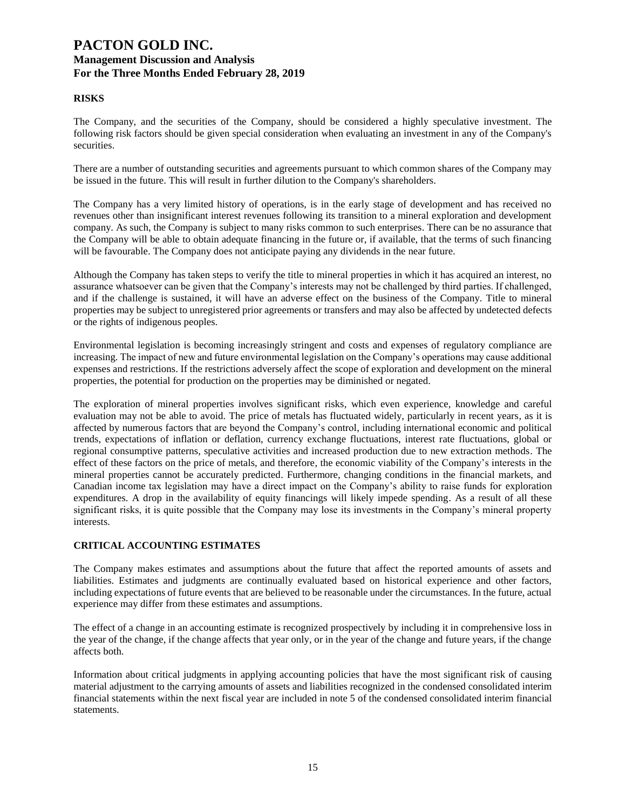## **RISKS**

The Company, and the securities of the Company, should be considered a highly speculative investment. The following risk factors should be given special consideration when evaluating an investment in any of the Company's securities.

There are a number of outstanding securities and agreements pursuant to which common shares of the Company may be issued in the future. This will result in further dilution to the Company's shareholders.

The Company has a very limited history of operations, is in the early stage of development and has received no revenues other than insignificant interest revenues following its transition to a mineral exploration and development company. As such, the Company is subject to many risks common to such enterprises. There can be no assurance that the Company will be able to obtain adequate financing in the future or, if available, that the terms of such financing will be favourable. The Company does not anticipate paying any dividends in the near future.

Although the Company has taken steps to verify the title to mineral properties in which it has acquired an interest, no assurance whatsoever can be given that the Company's interests may not be challenged by third parties. If challenged, and if the challenge is sustained, it will have an adverse effect on the business of the Company. Title to mineral properties may be subject to unregistered prior agreements or transfers and may also be affected by undetected defects or the rights of indigenous peoples.

Environmental legislation is becoming increasingly stringent and costs and expenses of regulatory compliance are increasing. The impact of new and future environmental legislation on the Company's operations may cause additional expenses and restrictions. If the restrictions adversely affect the scope of exploration and development on the mineral properties, the potential for production on the properties may be diminished or negated.

The exploration of mineral properties involves significant risks, which even experience, knowledge and careful evaluation may not be able to avoid. The price of metals has fluctuated widely, particularly in recent years, as it is affected by numerous factors that are beyond the Company's control, including international economic and political trends, expectations of inflation or deflation, currency exchange fluctuations, interest rate fluctuations, global or regional consumptive patterns, speculative activities and increased production due to new extraction methods. The effect of these factors on the price of metals, and therefore, the economic viability of the Company's interests in the mineral properties cannot be accurately predicted. Furthermore, changing conditions in the financial markets, and Canadian income tax legislation may have a direct impact on the Company's ability to raise funds for exploration expenditures. A drop in the availability of equity financings will likely impede spending. As a result of all these significant risks, it is quite possible that the Company may lose its investments in the Company's mineral property interests.

### **CRITICAL ACCOUNTING ESTIMATES**

The Company makes estimates and assumptions about the future that affect the reported amounts of assets and liabilities. Estimates and judgments are continually evaluated based on historical experience and other factors, including expectations of future events that are believed to be reasonable under the circumstances. In the future, actual experience may differ from these estimates and assumptions.

The effect of a change in an accounting estimate is recognized prospectively by including it in comprehensive loss in the year of the change, if the change affects that year only, or in the year of the change and future years, if the change affects both.

Information about critical judgments in applying accounting policies that have the most significant risk of causing material adjustment to the carrying amounts of assets and liabilities recognized in the condensed consolidated interim financial statements within the next fiscal year are included in note 5 of the condensed consolidated interim financial statements.